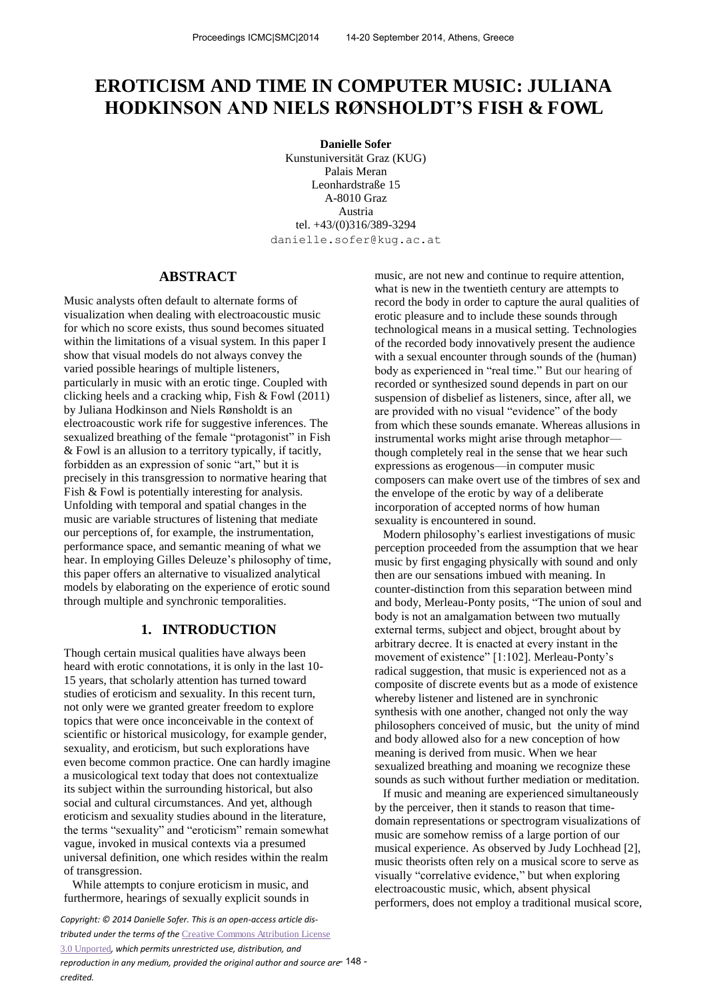# **EROTICISM AND TIME IN COMPUTER MUSIC: JULIANA HODKINSON AND NIELS RØNSHOLDT'S FISH & FOWL**

**Danielle Sofer**  Kunstuniversität Graz (KUG) Palais Meran Leonhardstraße 15 A-8010 Graz Austria tel. +43/(0)316/389-3294 danielle.sofer@kug.ac.at

#### **ABSTRACT**

Music analysts often default to alternate forms of visualization when dealing with electroacoustic music for which no score exists, thus sound becomes situated within the limitations of a visual system. In this paper I show that visual models do not always convey the varied possible hearings of multiple listeners, particularly in music with an erotic tinge. Coupled with clicking heels and a cracking whip, Fish & Fowl (2011) by Juliana Hodkinson and Niels Rønsholdt is an electroacoustic work rife for suggestive inferences. The sexualized breathing of the female "protagonist" in Fish & Fowl is an allusion to a territory typically, if tacitly, forbidden as an expression of sonic "art," but it is precisely in this transgression to normative hearing that Fish & Fowl is potentially interesting for analysis. Unfolding with temporal and spatial changes in the music are variable structures of listening that mediate our perceptions of, for example, the instrumentation, performance space, and semantic meaning of what we hear. In employing Gilles Deleuze's philosophy of time, this paper offers an alternative to visualized analytical models by elaborating on the experience of erotic sound through multiple and synchronic temporalities.

### **1. INTRODUCTION**

Though certain musical qualities have always been heard with erotic connotations, it is only in the last 10- 15 years, that scholarly attention has turned toward studies of eroticism and sexuality. In this recent turn, not only were we granted greater freedom to explore topics that were once inconceivable in the context of scientific or historical musicology, for example gender, sexuality, and eroticism, but such explorations have even become common practice. One can hardly imagine a musicological text today that does not contextualize its subject within the surrounding historical, but also social and cultural circumstances. And yet, although eroticism and sexuality studies abound in the literature, the terms "sexuality" and "eroticism" remain somewhat vague, invoked in musical contexts via a presumed universal definition, one which resides within the realm of transgression.

While attempts to conjure eroticism in music, and furthermore, hearings of sexually explicit sounds in

*Copyright: © 2014 Danielle Sofer. This is an open-access article distributed under the terms of the* [Creative Commons Attribution License](http://creativecommons.org/licenses/by/3.0/)  [3.0 Unported](http://creativecommons.org/licenses/by/3.0/)*, which permits unrestricted use, distribution, and reproduction in any medium, provided the original author and source are*  - 148 *credited.* 

music, are not new and continue to require attention, what is new in the twentieth century are attempts to record the body in order to capture the aural qualities of erotic pleasure and to include these sounds through technological means in a musical setting. Technologies of the recorded body innovatively present the audience with a sexual encounter through sounds of the (human) body as experienced in "real time." But our hearing of recorded or synthesized sound depends in part on our suspension of disbelief as listeners, since, after all, we are provided with no visual "evidence" of the body from which these sounds emanate. Whereas allusions in instrumental works might arise through metaphor though completely real in the sense that we hear such expressions as erogenous—in computer music composers can make overt use of the timbres of sex and the envelope of the erotic by way of a deliberate incorporation of accepted norms of how human sexuality is encountered in sound.

Modern philosophy's earliest investigations of music perception proceeded from the assumption that we hear music by first engaging physically with sound and only then are our sensations imbued with meaning. In counter-distinction from this separation between mind and body, Merleau-Ponty posits, "The union of soul and body is not an amalgamation between two mutually external terms, subject and object, brought about by arbitrary decree. It is enacted at every instant in the movement of existence" [1:102]. Merleau-Ponty's radical suggestion, that music is experienced not as a composite of discrete events but as a mode of existence whereby listener and listened are in synchronic synthesis with one another, changed not only the way philosophers conceived of music, but the unity of mind and body allowed also for a new conception of how meaning is derived from music. When we hear sexualized breathing and moaning we recognize these sounds as such without further mediation or meditation.

If music and meaning are experienced simultaneously by the perceiver, then it stands to reason that timedomain representations or spectrogram visualizations of music are somehow remiss of a large portion of our musical experience. As observed by Judy Lochhead [2], music theorists often rely on a musical score to serve as visually "correlative evidence," but when exploring electroacoustic music, which, absent physical performers, does not employ a traditional musical score,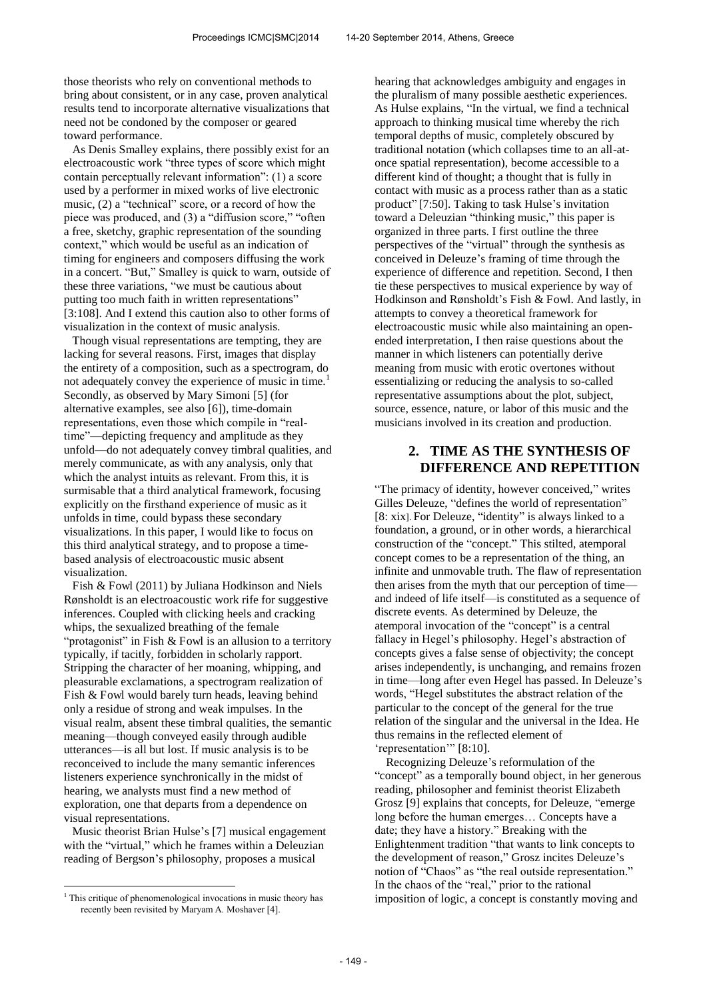those theorists who rely on conventional methods to bring about consistent, or in any case, proven analytical results tend to incorporate alternative visualizations that need not be condoned by the composer or geared toward performance.

As Denis Smalley explains, there possibly exist for an electroacoustic work "three types of score which might contain perceptually relevant information": (1) a score used by a performer in mixed works of live electronic music, (2) a "technical" score, or a record of how the piece was produced, and (3) a "diffusion score," "often a free, sketchy, graphic representation of the sounding context," which would be useful as an indication of timing for engineers and composers diffusing the work in a concert. "But," Smalley is quick to warn, outside of these three variations, "we must be cautious about putting too much faith in written representations" [3:108]. And I extend this caution also to other forms of visualization in the context of music analysis.

Though visual representations are tempting, they are lacking for several reasons. First, images that display the entirety of a composition, such as a spectrogram, do not adequately convey the experience of music in time.<sup>1</sup> Secondly, as observed by Mary Simoni [5] (for alternative examples, see also [6]), time-domain representations, even those which compile in "realtime"—depicting frequency and amplitude as they unfold—do not adequately convey timbral qualities, and merely communicate, as with any analysis, only that which the analyst intuits as relevant. From this, it is surmisable that a third analytical framework, focusing explicitly on the firsthand experience of music as it unfolds in time, could bypass these secondary visualizations. In this paper, I would like to focus on this third analytical strategy, and to propose a timebased analysis of electroacoustic music absent visualization.

Fish & Fowl (2011) by Juliana Hodkinson and Niels Rønsholdt is an electroacoustic work rife for suggestive inferences. Coupled with clicking heels and cracking whips, the sexualized breathing of the female "protagonist" in Fish & Fowl is an allusion to a territory typically, if tacitly, forbidden in scholarly rapport. Stripping the character of her moaning, whipping, and pleasurable exclamations, a spectrogram realization of Fish & Fowl would barely turn heads, leaving behind only a residue of strong and weak impulses. In the visual realm, absent these timbral qualities, the semantic meaning—though conveyed easily through audible utterances—is all but lost. If music analysis is to be reconceived to include the many semantic inferences listeners experience synchronically in the midst of hearing, we analysts must find a new method of exploration, one that departs from a dependence on visual representations.

Music theorist Brian Hulse's [7] musical engagement with the "virtual," which he frames within a Deleuzian reading of Bergson's philosophy, proposes a musical

 $\overline{a}$ 

hearing that acknowledges ambiguity and engages in the pluralism of many possible aesthetic experiences. As Hulse explains, "In the virtual, we find a technical approach to thinking musical time whereby the rich temporal depths of music, completely obscured by traditional notation (which collapses time to an all-atonce spatial representation), become accessible to a different kind of thought; a thought that is fully in contact with music as a process rather than as a static product" [7:50]. Taking to task Hulse's invitation toward a Deleuzian "thinking music," this paper is organized in three parts. I first outline the three perspectives of the "virtual" through the synthesis as conceived in Deleuze's framing of time through the experience of difference and repetition. Second, I then tie these perspectives to musical experience by way of Hodkinson and Rønsholdt's Fish & Fowl. And lastly, in attempts to convey a theoretical framework for electroacoustic music while also maintaining an openended interpretation, I then raise questions about the manner in which listeners can potentially derive meaning from music with erotic overtones without essentializing or reducing the analysis to so-called representative assumptions about the plot, subject, source, essence, nature, or labor of this music and the musicians involved in its creation and production.

## **2. TIME AS THE SYNTHESIS OF DIFFERENCE AND REPETITION**

"The primacy of identity, however conceived," writes Gilles Deleuze, "defines the world of representation" [8: xix]. For Deleuze, "identity" is always linked to a foundation, a ground, or in other words, a hierarchical construction of the "concept." This stilted, atemporal concept comes to be a representation of the thing, an infinite and unmovable truth. The flaw of representation then arises from the myth that our perception of time and indeed of life itself—is constituted as a sequence of discrete events. As determined by Deleuze, the atemporal invocation of the "concept" is a central fallacy in Hegel's philosophy. Hegel's abstraction of concepts gives a false sense of objectivity; the concept arises independently, is unchanging, and remains frozen in time—long after even Hegel has passed. In Deleuze's words, "Hegel substitutes the abstract relation of the particular to the concept of the general for the true relation of the singular and the universal in the Idea. He thus remains in the reflected element of 'representation'" [8:10].

 Recognizing Deleuze's reformulation of the "concept" as a temporally bound object, in her generous reading, philosopher and feminist theorist Elizabeth Grosz [9] explains that concepts, for Deleuze, "emerge long before the human emerges… Concepts have a date; they have a history." Breaking with the Enlightenment tradition "that wants to link concepts to the development of reason," Grosz incites Deleuze's notion of "Chaos" as "the real outside representation." In the chaos of the "real," prior to the rational imposition of logic, a concept is constantly moving and

<sup>&</sup>lt;sup>1</sup> This critique of phenomenological invocations in music theory has recently been revisited by Maryam A. Moshaver [4].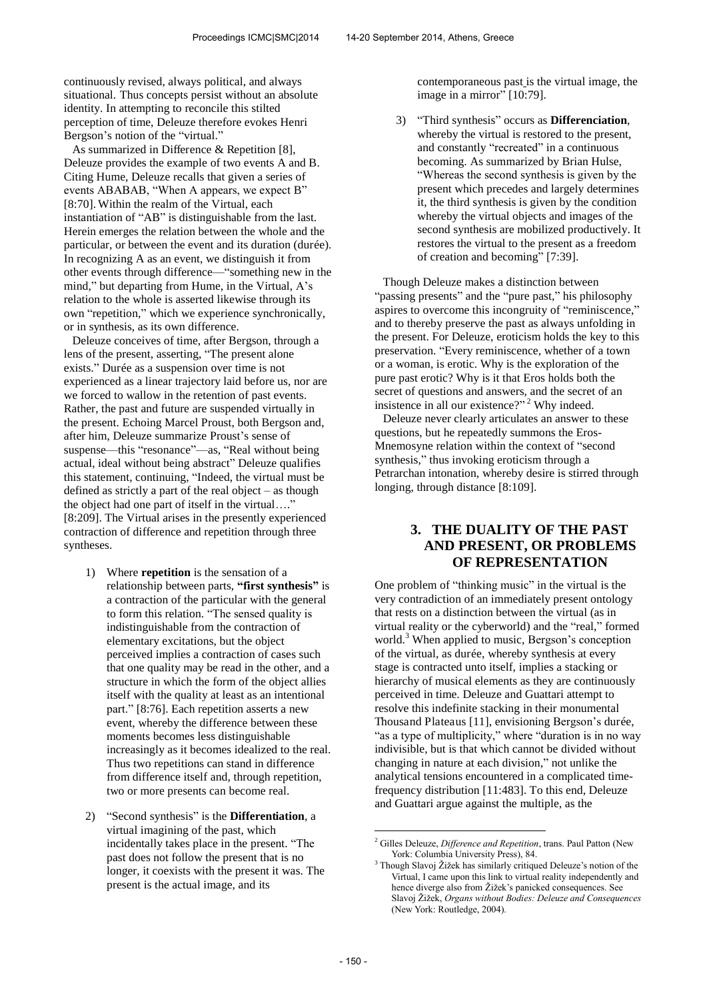continuously revised, always political, and always situational. Thus concepts persist without an absolute identity. In attempting to reconcile this stilted perception of time, Deleuze therefore evokes Henri Bergson's notion of the "virtual."

As summarized in Difference & Repetition [8], Deleuze provides the example of two events A and B. Citing Hume, Deleuze recalls that given a series of events ABABAB, "When A appears, we expect B" [8:70]. Within the realm of the Virtual, each instantiation of "AB" is distinguishable from the last. Herein emerges the relation between the whole and the particular, or between the event and its duration (durée). In recognizing A as an event, we distinguish it from other events through difference—"something new in the mind," but departing from Hume, in the Virtual, A's relation to the whole is asserted likewise through its own "repetition," which we experience synchronically, or in synthesis, as its own difference.

Deleuze conceives of time, after Bergson, through a lens of the present, asserting, "The present alone exists." Durée as a suspension over time is not experienced as a linear trajectory laid before us, nor are we forced to wallow in the retention of past events. Rather, the past and future are suspended virtually in the present. Echoing Marcel Proust, both Bergson and, after him, Deleuze summarize Proust's sense of suspense—this "resonance"—as, "Real without being actual, ideal without being abstract" Deleuze qualifies this statement, continuing, "Indeed, the virtual must be defined as strictly a part of the real object – as though the object had one part of itself in the virtual…." [8:209]. The Virtual arises in the presently experienced contraction of difference and repetition through three syntheses.

- 1) Where **repetition** is the sensation of a relationship between parts, **"first synthesis"** is a contraction of the particular with the general to form this relation. "The sensed quality is indistinguishable from the contraction of elementary excitations, but the object perceived implies a contraction of cases such that one quality may be read in the other, and a structure in which the form of the object allies itself with the quality at least as an intentional part." [8:76]. Each repetition asserts a new event, whereby the difference between these moments becomes less distinguishable increasingly as it becomes idealized to the real. Thus two repetitions can stand in difference from difference itself and, through repetition, two or more presents can become real.
- 2) "Second synthesis" is the **Differentiation**, a virtual imagining of the past, which incidentally takes place in the present. "The past does not follow the present that is no longer, it coexists with the present it was. The present is the actual image, and its

contemporaneous past is the virtual image, the image in a mirror" [10:79].

3) "Third synthesis" occurs as **Differenciation**, whereby the virtual is restored to the present, and constantly "recreated" in a continuous becoming. As summarized by Brian Hulse, "Whereas the second synthesis is given by the present which precedes and largely determines it, the third synthesis is given by the condition whereby the virtual objects and images of the second synthesis are mobilized productively. It restores the virtual to the present as a freedom of creation and becoming" [7:39].

Though Deleuze makes a distinction between "passing presents" and the "pure past," his philosophy aspires to overcome this incongruity of "reminiscence," and to thereby preserve the past as always unfolding in the present. For Deleuze, eroticism holds the key to this preservation. "Every reminiscence, whether of a town or a woman, is erotic. Why is the exploration of the pure past erotic? Why is it that Eros holds both the secret of questions and answers, and the secret of an insistence in all our existence?"<sup>2</sup> Why indeed.

Deleuze never clearly articulates an answer to these questions, but he repeatedly summons the Eros-Mnemosyne relation within the context of "second synthesis," thus invoking eroticism through a Petrarchan intonation, whereby desire is stirred through longing, through distance [8:109].

# **3. THE DUALITY OF THE PAST AND PRESENT, OR PROBLEMS OF REPRESENTATION**

One problem of "thinking music" in the virtual is the very contradiction of an immediately present ontology that rests on a distinction between the virtual (as in virtual reality or the cyberworld) and the "real," formed world.<sup>3</sup> When applied to music, Bergson's conception of the virtual, as durée, whereby synthesis at every stage is contracted unto itself, implies a stacking or hierarchy of musical elements as they are continuously perceived in time. Deleuze and Guattari attempt to resolve this indefinite stacking in their monumental Thousand Plateaus [11], envisioning Bergson's durée, "as a type of multiplicity," where "duration is in no way indivisible, but is that which cannot be divided without changing in nature at each division," not unlike the analytical tensions encountered in a complicated timefrequency distribution [11:483]. To this end, Deleuze and Guattari argue against the multiple, as the

 $\overline{a}$ 

<sup>2</sup> Gilles Deleuze, *Difference and Repetition*, trans. Paul Patton (New York: Columbia University Press), 84.

<sup>3</sup> Though Slavoj Žižek has similarly critiqued Deleuze's notion of the Virtual, I came upon this link to virtual reality independently and hence diverge also from Žižek's panicked consequences. See Slavoj Žižek, *Organs without Bodies: Deleuze and Consequences* (New York: Routledge, 2004).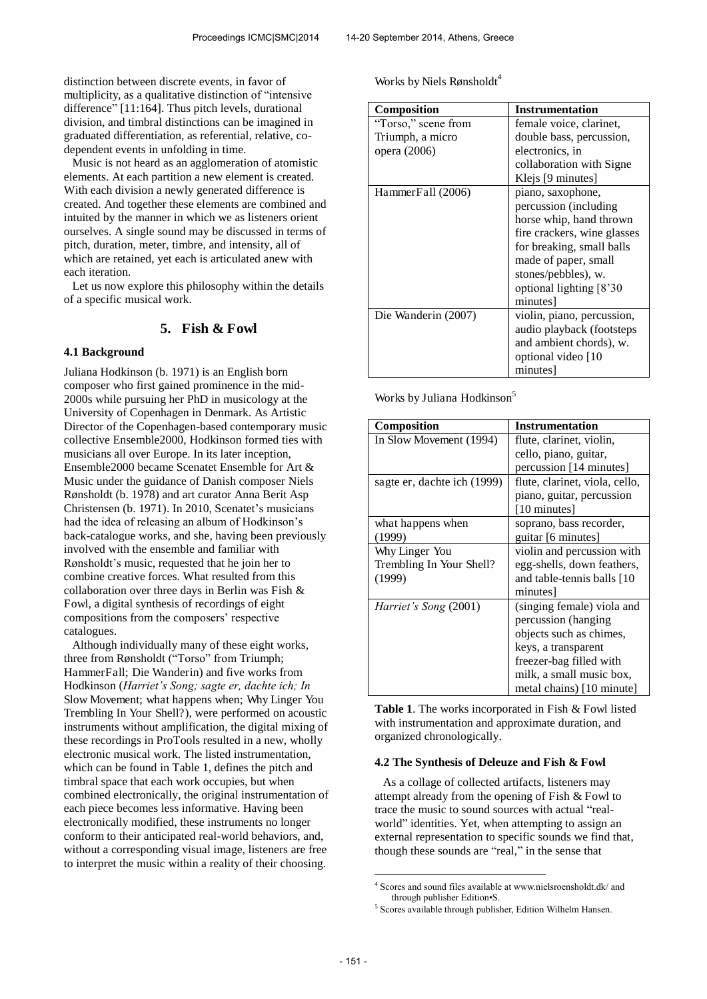distinction between discrete events, in favor of multiplicity, as a qualitative distinction of "intensive difference" [11:164]. Thus pitch levels, durational division, and timbral distinctions can be imagined in graduated differentiation, as referential, relative, codependent events in unfolding in time.

Music is not heard as an agglomeration of atomistic elements. At each partition a new element is created. With each division a newly generated difference is created. And together these elements are combined and intuited by the manner in which we as listeners orient ourselves. A single sound may be discussed in terms of pitch, duration, meter, timbre, and intensity, all of which are retained, yet each is articulated anew with each iteration.

Let us now explore this philosophy within the details of a specific musical work.

### **5. Fish & Fowl**

#### **4.1 Background**

Juliana Hodkinson (b. 1971) is an English born composer who first gained prominence in the mid-2000s while pursuing her PhD in musicology at the University of Copenhagen in Denmark. As Artistic Director of the Copenhagen-based contemporary music collective Ensemble2000, Hodkinson formed ties with musicians all over Europe. In its later inception, Ensemble2000 became Scenatet Ensemble for Art & Music under the guidance of Danish composer Niels Rønsholdt (b. 1978) and art curator Anna Berit Asp Christensen (b. 1971). In 2010, Scenatet's musicians had the idea of releasing an album of Hodkinson's back-catalogue works, and she, having been previously involved with the ensemble and familiar with Rønsholdt's music, requested that he join her to combine creative forces. What resulted from this collaboration over three days in Berlin was Fish & Fowl, a digital synthesis of recordings of eight compositions from the composers' respective catalogues.

Although individually many of these eight works, three from Rønsholdt ("Torso" from Triumph; HammerFall; Die Wanderin) and five works from Hodkinson (*Harriet's Song; sagte er, dachte ich; In*  Slow Movement; what happens when; Why Linger You Trembling In Your Shell?), were performed on acoustic instruments without amplification, the digital mixing of these recordings in ProTools resulted in a new, wholly electronic musical work. The listed instrumentation, which can be found in Table 1, defines the pitch and timbral space that each work occupies, but when combined electronically, the original instrumentation of each piece becomes less informative. Having been electronically modified, these instruments no longer conform to their anticipated real-world behaviors, and, without a corresponding visual image, listeners are free to interpret the music within a reality of their choosing.

Works by Niels Rønsholdt<sup>4</sup>

| Composition         | <b>Instrumentation</b>      |
|---------------------|-----------------------------|
| "Torso," scene from | female voice, clarinet,     |
| Triumph, a micro    | double bass, percussion,    |
| opera (2006)        | electronics, in             |
|                     | collaboration with Signe    |
|                     | Klejs [9 minutes]           |
| HammerFall (2006)   | piano, saxophone,           |
|                     | percussion (including       |
|                     | horse whip, hand thrown     |
|                     | fire crackers, wine glasses |
|                     | for breaking, small balls   |
|                     | made of paper, small        |
|                     | stones/pebbles), w.         |
|                     | optional lighting [8'30     |
|                     | minutes                     |
| Die Wanderin (2007) | violin, piano, percussion,  |
|                     | audio playback (footsteps   |
|                     | and ambient chords), w.     |
|                     | optional video [10          |
|                     | minutes                     |

Works by Juliana Hodkinson<sup>5</sup>

| Composition                                          | <b>Instrumentation</b>                                                                                                                                                                  |
|------------------------------------------------------|-----------------------------------------------------------------------------------------------------------------------------------------------------------------------------------------|
| In Slow Movement (1994)                              | flute, clarinet, violin,<br>cello, piano, guitar,<br>percussion [14 minutes]                                                                                                            |
| sagte er, dachte ich (1999)                          | flute, clarinet, viola, cello,<br>piano, guitar, percussion<br>[10 minutes]                                                                                                             |
| what happens when<br>(1999)                          | soprano, bass recorder,<br>guitar [6 minutes]                                                                                                                                           |
| Why Linger You<br>Trembling In Your Shell?<br>(1999) | violin and percussion with<br>egg-shells, down feathers,<br>and table-tennis balls [10]<br>minutes                                                                                      |
| <i>Harriet's Song</i> (2001)                         | (singing female) viola and<br>percussion (hanging<br>objects such as chimes,<br>keys, a transparent<br>freezer-bag filled with<br>milk, a small music box,<br>metal chains) [10 minute] |

**Table 1**. The works incorporated in Fish & Fowl listed with instrumentation and approximate duration, and organized chronologically.

#### **4.2 The Synthesis of Deleuze and Fish & Fowl**

As a collage of collected artifacts, listeners may attempt already from the opening of Fish & Fowl to trace the music to sound sources with actual "realworld" identities. Yet, when attempting to assign an external representation to specific sounds we find that, though these sounds are "real," in the sense that

 $\overline{a}$ 

<sup>4</sup> Scores and sound files available at www.nielsroensholdt.dk/ and through publisher Edition•S.

<sup>&</sup>lt;sup>5</sup> Scores available through publisher, Edition Wilhelm Hansen.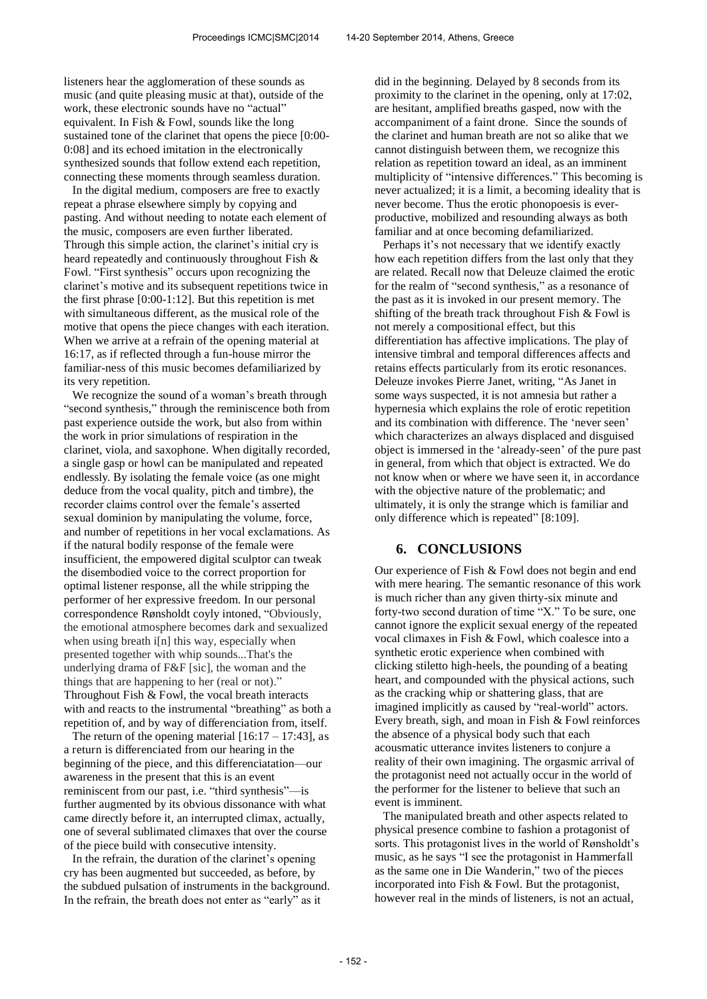listeners hear the agglomeration of these sounds as music (and quite pleasing music at that), outside of the work, these electronic sounds have no "actual" equivalent. In Fish & Fowl, sounds like the long sustained tone of the clarinet that opens the piece [0:00- 0:08] and its echoed imitation in the electronically synthesized sounds that follow extend each repetition, connecting these moments through seamless duration.

In the digital medium, composers are free to exactly repeat a phrase elsewhere simply by copying and pasting. And without needing to notate each element of the music, composers are even further liberated. Through this simple action, the clarinet's initial cry is heard repeatedly and continuously throughout Fish & Fowl. "First synthesis" occurs upon recognizing the clarinet's motive and its subsequent repetitions twice in the first phrase [0:00-1:12]. But this repetition is met with simultaneous different, as the musical role of the motive that opens the piece changes with each iteration. When we arrive at a refrain of the opening material at 16:17, as if reflected through a fun-house mirror the familiar-ness of this music becomes defamiliarized by its very repetition.

We recognize the sound of a woman's breath through "second synthesis," through the reminiscence both from past experience outside the work, but also from within the work in prior simulations of respiration in the clarinet, viola, and saxophone. When digitally recorded, a single gasp or howl can be manipulated and repeated endlessly. By isolating the female voice (as one might deduce from the vocal quality, pitch and timbre), the recorder claims control over the female's asserted sexual dominion by manipulating the volume, force, and number of repetitions in her vocal exclamations. As if the natural bodily response of the female were insufficient, the empowered digital sculptor can tweak the disembodied voice to the correct proportion for optimal listener response, all the while stripping the performer of her expressive freedom. In our personal correspondence Rønsholdt coyly intoned, "Obviously, the emotional atmosphere becomes dark and sexualized when using breath i[n] this way, especially when presented together with whip sounds...That's the underlying drama of F&F [sic], the woman and the things that are happening to her (real or not)." Throughout Fish & Fowl, the vocal breath interacts with and reacts to the instrumental "breathing" as both a repetition of, and by way of differenciation from, itself.

The return of the opening material  $[16:17 - 17:43]$ , as a return is differenciated from our hearing in the beginning of the piece, and this differenciatation—our awareness in the present that this is an event reminiscent from our past, i.e. "third synthesis"—is further augmented by its obvious dissonance with what came directly before it, an interrupted climax, actually, one of several sublimated climaxes that over the course of the piece build with consecutive intensity.

In the refrain, the duration of the clarinet's opening cry has been augmented but succeeded, as before, by the subdued pulsation of instruments in the background. In the refrain, the breath does not enter as "early" as it

did in the beginning. Delayed by 8 seconds from its proximity to the clarinet in the opening, only at 17:02, are hesitant, amplified breaths gasped, now with the accompaniment of a faint drone. Since the sounds of the clarinet and human breath are not so alike that we cannot distinguish between them, we recognize this relation as repetition toward an ideal, as an imminent multiplicity of "intensive differences." This becoming is never actualized; it is a limit, a becoming ideality that is never become. Thus the erotic phonopoesis is everproductive, mobilized and resounding always as both familiar and at once becoming defamiliarized.

Perhaps it's not necessary that we identify exactly how each repetition differs from the last only that they are related. Recall now that Deleuze claimed the erotic for the realm of "second synthesis," as a resonance of the past as it is invoked in our present memory. The shifting of the breath track throughout Fish & Fowl is not merely a compositional effect, but this differentiation has affective implications. The play of intensive timbral and temporal differences affects and retains effects particularly from its erotic resonances. Deleuze invokes Pierre Janet, writing, "As Janet in some ways suspected, it is not amnesia but rather a hypernesia which explains the role of erotic repetition and its combination with difference. The 'never seen' which characterizes an always displaced and disguised object is immersed in the 'already-seen' of the pure past in general, from which that object is extracted. We do not know when or where we have seen it, in accordance with the objective nature of the problematic; and ultimately, it is only the strange which is familiar and only difference which is repeated" [8:109].

#### **6. CONCLUSIONS**

Our experience of Fish & Fowl does not begin and end with mere hearing. The semantic resonance of this work is much richer than any given thirty-six minute and forty-two second duration of time "X." To be sure, one cannot ignore the explicit sexual energy of the repeated vocal climaxes in Fish & Fowl, which coalesce into a synthetic erotic experience when combined with clicking stiletto high-heels, the pounding of a beating heart, and compounded with the physical actions, such as the cracking whip or shattering glass, that are imagined implicitly as caused by "real-world" actors. Every breath, sigh, and moan in Fish & Fowl reinforces the absence of a physical body such that each acousmatic utterance invites listeners to conjure a reality of their own imagining. The orgasmic arrival of the protagonist need not actually occur in the world of the performer for the listener to believe that such an event is imminent.

The manipulated breath and other aspects related to physical presence combine to fashion a protagonist of sorts. This protagonist lives in the world of Rønsholdt's music, as he says "I see the protagonist in Hammerfall as the same one in Die Wanderin," two of the pieces incorporated into Fish & Fowl. But the protagonist, however real in the minds of listeners, is not an actual,